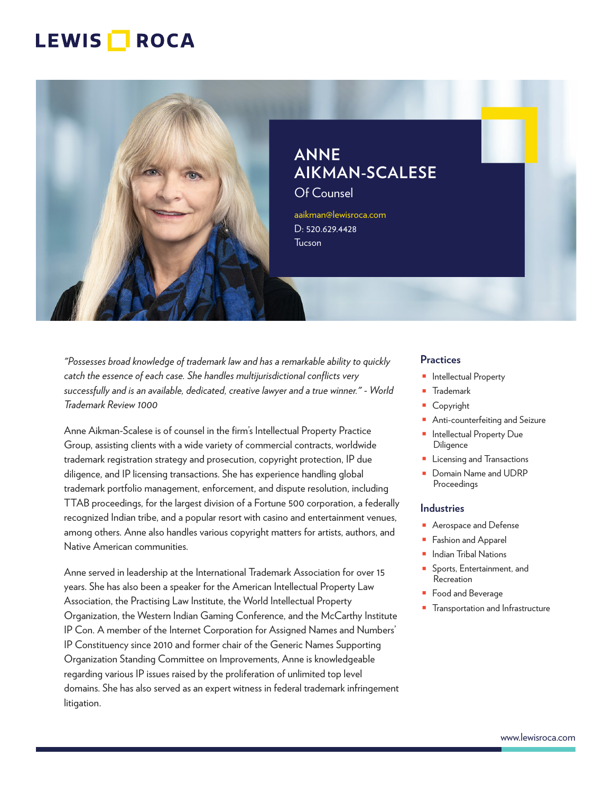

# **ANNE AIKMAN-SCALESE**

Of Counsel

aaikman@lewisroca.com D: 520.629.4428 **Tucson** 

*"Possesses broad knowledge of trademark law and has a remarkable ability to quickly catch the essence of each case. She handles multijurisdictional conflicts very successfully and is an available, dedicated, creative lawyer and a true winner." - World Trademark Review 1000*

Anne Aikman-Scalese is of counsel in the firm's Intellectual Property Practice Group, assisting clients with a wide variety of commercial contracts, worldwide trademark registration strategy and prosecution, copyright protection, IP due diligence, and IP licensing transactions. She has experience handling global trademark portfolio management, enforcement, and dispute resolution, including TTAB proceedings, for the largest division of a Fortune 500 corporation, a federally recognized Indian tribe, and a popular resort with casino and entertainment venues, among others. Anne also handles various copyright matters for artists, authors, and Native American communities.

Anne served in leadership at the International Trademark Association for over 15 years. She has also been a speaker for the American Intellectual Property Law Association, the Practising Law Institute, the World Intellectual Property Organization, the Western Indian Gaming Conference, and the McCarthy Institute IP Con. A member of the Internet Corporation for Assigned Names and Numbers' IP Constituency since 2010 and former chair of the Generic Names Supporting Organization Standing Committee on Improvements, Anne is knowledgeable regarding various IP issues raised by the proliferation of unlimited top level domains. She has also served as an expert witness in federal trademark infringement litigation.

#### **Practices**

- Intellectual Property
- Trademark
- Copyright
- Anti-counterfeiting and Seizure
- Intellectual Property Due **Diligence**
- Licensing and Transactions
- Domain Name and UDRP Proceedings

#### **Industries**

- Aerospace and Defense
- Fashion and Apparel
- Indian Tribal Nations
- Sports, Entertainment, and Recreation
- Food and Beverage
- Transportation and Infrastructure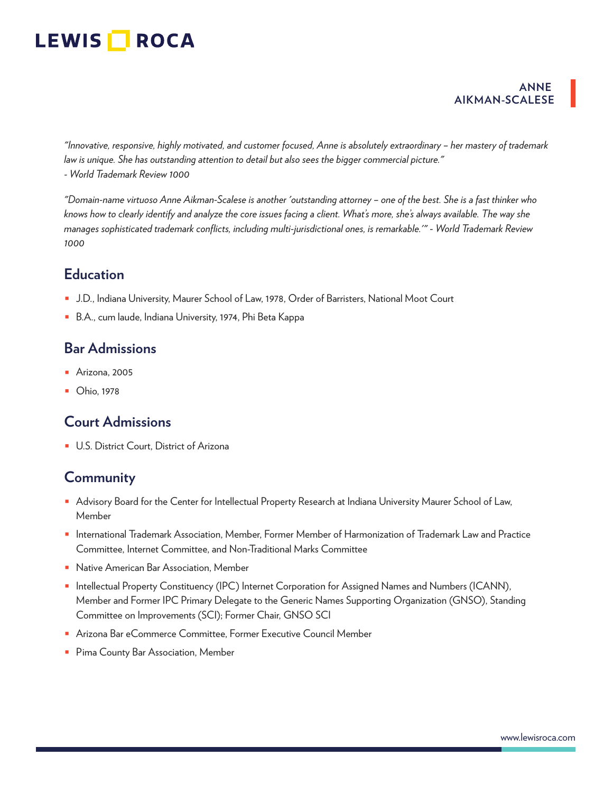### **ANNE AIKMAN-SCALESE**

*"Innovative, responsive, highly motivated, and customer focused, Anne is absolutely extraordinary – her mastery of trademark law is unique. She has outstanding attention to detail but also sees the bigger commercial picture." - World Trademark Review 1000*

*"Domain-name virtuoso Anne Aikman-Scalese is another 'outstanding attorney – one of the best. She is a fast thinker who knows how to clearly identify and analyze the core issues facing a client. What's more, she's always available. The way she manages sophisticated trademark conflicts, including multi-jurisdictional ones, is remarkable.'"* - *World Trademark Review 1000*

## **Education**

- J.D., Indiana University, Maurer School of Law, 1978, Order of Barristers, National Moot Court
- B.A., cum laude, Indiana University, 1974, Phi Beta Kappa

## **Bar Admissions**

- Arizona, 2005
- **Ohio**, 1978

## **Court Admissions**

■ U.S. District Court, District of Arizona

## **Community**

- Advisory Board for the Center for Intellectual Property Research at Indiana University Maurer School of Law, Member
- International Trademark Association, Member, Former Member of Harmonization of Trademark Law and Practice Committee, Internet Committee, and Non-Traditional Marks Committee
- Native American Bar Association, Member
- Intellectual Property Constituency (IPC) Internet Corporation for Assigned Names and Numbers (ICANN), Member and Former IPC Primary Delegate to the Generic Names Supporting Organization (GNSO), Standing Committee on Improvements (SCI); Former Chair, GNSO SCI
- Arizona Bar eCommerce Committee, Former Executive Council Member
- Pima County Bar Association, Member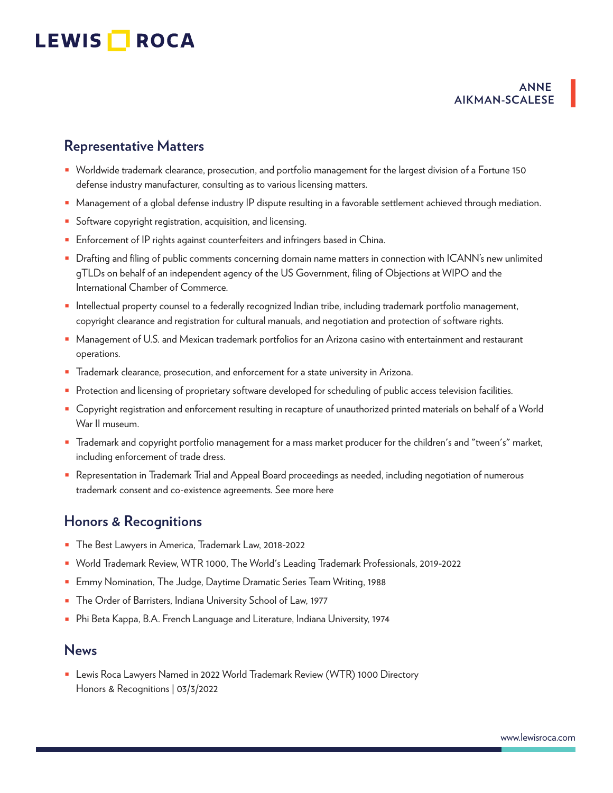### **ANNE AIKMAN-SCALESE**

## **Representative Matters**

- Worldwide trademark clearance, prosecution, and portfolio management for the largest division of a Fortune 150 defense industry manufacturer, consulting as to various licensing matters.
- Management of a global defense industry IP dispute resulting in a favorable settlement achieved through mediation.
- Software copyright registration, acquisition, and licensing.
- Enforcement of IP rights against counterfeiters and infringers based in China.
- Drafting and filing of public comments concerning domain name matters in connection with ICANN's new unlimited gTLDs on behalf of an independent agency of the US Government, filing of Objections at WIPO and the International Chamber of Commerce.
- Intellectual property counsel to a federally recognized Indian tribe, including trademark portfolio management, copyright clearance and registration for cultural manuals, and negotiation and protection of software rights.
- Management of U.S. and Mexican trademark portfolios for an Arizona casino with entertainment and restaurant operations.
- Trademark clearance, prosecution, and enforcement for a state university in Arizona.
- Protection and licensing of proprietary software developed for scheduling of public access television facilities.
- Copyright registration and enforcement resulting in recapture of unauthorized printed materials on behalf of a World War II museum.
- Trademark and copyright portfolio management for a mass market producer for the children's and "tween's" market, including enforcement of trade dress.
- Representation in Trademark Trial and Appeal Board proceedings as needed, including negotiation of numerous trademark consent and co-existence agreements. See more here

### **Honors & Recognitions**

- The Best Lawyers in America, Trademark Law, 2018-2022
- World Trademark Review, WTR 1000, The World's Leading Trademark Professionals, 2019-2022
- Emmy Nomination, The Judge, Daytime Dramatic Series Team Writing, 1988
- The Order of Barristers, Indiana University School of Law, 1977
- Phi Beta Kappa, B.A. French Language and Literature, Indiana University, 1974

### **News**

■ Lewis Roca Lawyers Named in 2022 World Trademark Review (WTR) 1000 Directory Honors & Recognitions | 03/3/2022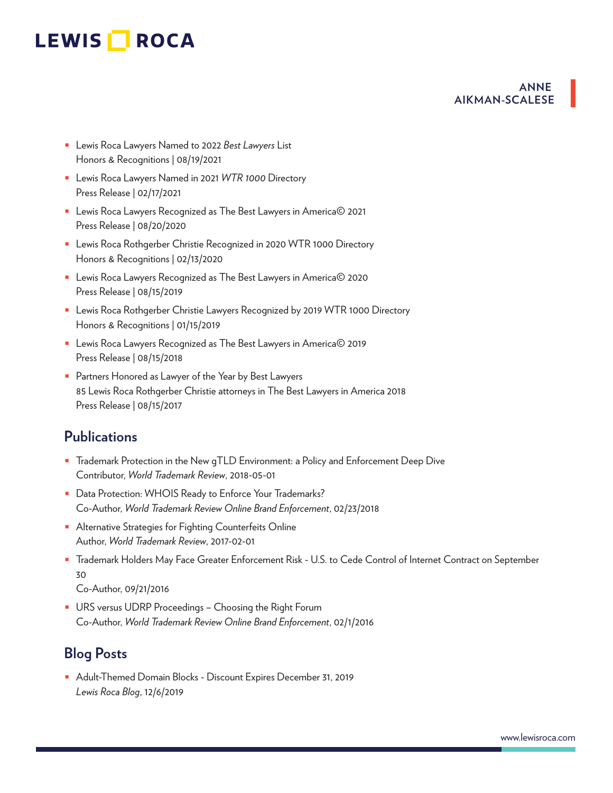### **ANNE AIKMAN-SCALESE**

- Lewis Roca Lawyers Named to 2022 *Best Lawyers* List Honors & Recognitions | 08/19/2021
- Lewis Roca Lawyers Named in 2021 *WTR 1000* Directory Press Release | 02/17/2021
- Lewis Roca Lawyers Recognized as The Best Lawyers in America© 2021 Press Release | 08/20/2020
- Lewis Roca Rothgerber Christie Recognized in 2020 WTR 1000 Directory Honors & Recognitions | 02/13/2020
- Lewis Roca Lawyers Recognized as The Best Lawyers in America© 2020 Press Release | 08/15/2019
- Lewis Roca Rothgerber Christie Lawyers Recognized by 2019 WTR 1000 Directory Honors & Recognitions | 01/15/2019
- Lewis Roca Lawyers Recognized as The Best Lawyers in America© 2019 Press Release | 08/15/2018
- Partners Honored as Lawyer of the Year by Best Lawyers 85 Lewis Roca Rothgerber Christie attorneys in The Best Lawyers in America 2018 Press Release | 08/15/2017

## **Publications**

- Trademark Protection in the New qTLD Environment: a Policy and Enforcement Deep Dive Contributor, *World Trademark Review*, 2018-05-01
- Data Protection: WHOIS Ready to Enforce Your Trademarks? Co-Author, *World Trademark Review Online Brand Enforcement*, 02/23/2018
- Alternative Strategies for Fighting Counterfeits Online Author, *World Trademark Review*, 2017-02-01
- Trademark Holders May Face Greater Enforcement Risk U.S. to Cede Control of Internet Contract on September 30

Co-Author, 09/21/2016

■ URS versus UDRP Proceedings – Choosing the Right Forum Co-Author, *World Trademark Review Online Brand Enforcement*, 02/1/2016

## **Blog Posts**

■ Adult-Themed Domain Blocks - Discount Expires December 31, 2019 *Lewis Roca Blog*, 12/6/2019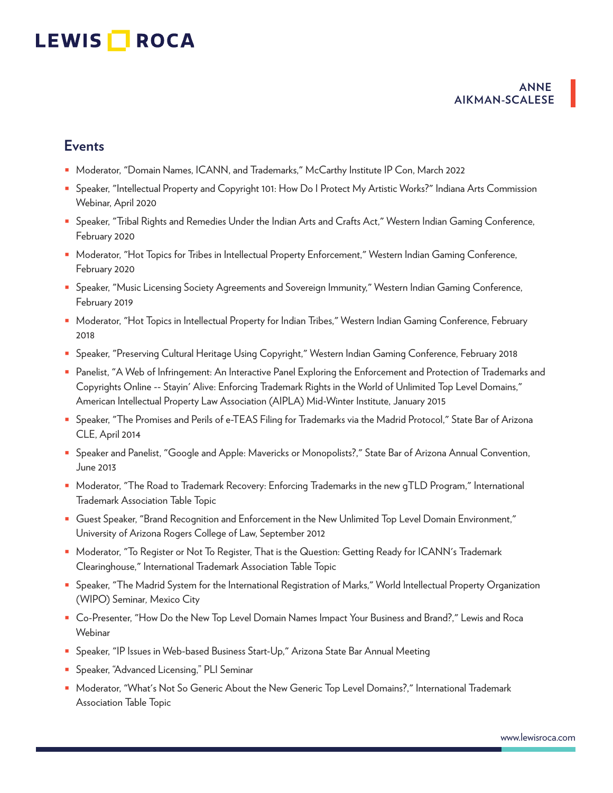### **ANNE AIKMAN-SCALESE**

## **Events**

- Moderator, "Domain Names, ICANN, and Trademarks," McCarthy Institute IP Con, March 2022
- Speaker, "Intellectual Property and Copyright 101: How Do I Protect My Artistic Works?" Indiana Arts Commission Webinar, April 2020
- Speaker, "Tribal Rights and Remedies Under the Indian Arts and Crafts Act," Western Indian Gaming Conference, February 2020
- Moderator, "Hot Topics for Tribes in Intellectual Property Enforcement," Western Indian Gaming Conference, February 2020
- Speaker, "Music Licensing Society Agreements and Sovereign Immunity," Western Indian Gaming Conference, February 2019
- Moderator, "Hot Topics in Intellectual Property for Indian Tribes," Western Indian Gaming Conference, February 2018
- Speaker, "Preserving Cultural Heritage Using Copyright," Western Indian Gaming Conference, February 2018
- Panelist, "A Web of Infringement: An Interactive Panel Exploring the Enforcement and Protection of Trademarks and Copyrights Online -- Stayin' Alive: Enforcing Trademark Rights in the World of Unlimited Top Level Domains," American Intellectual Property Law Association (AIPLA) Mid-Winter Institute, January 2015
- Speaker, "The Promises and Perils of e-TEAS Filing for Trademarks via the Madrid Protocol," State Bar of Arizona CLE, April 2014
- Speaker and Panelist, "Google and Apple: Mavericks or Monopolists?," State Bar of Arizona Annual Convention, June 2013
- Moderator, "The Road to Trademark Recovery: Enforcing Trademarks in the new gTLD Program," International Trademark Association Table Topic
- Guest Speaker, "Brand Recognition and Enforcement in the New Unlimited Top Level Domain Environment," University of Arizona Rogers College of Law, September 2012
- Moderator, "To Register or Not To Register, That is the Question: Getting Ready for ICANN's Trademark Clearinghouse," International Trademark Association Table Topic
- Speaker, "The Madrid System for the International Registration of Marks," World Intellectual Property Organization (WIPO) Seminar*,* Mexico City
- Co-Presenter, "How Do the New Top Level Domain Names Impact Your Business and Brand?," Lewis and Roca Webinar
- Speaker, "IP Issues in Web-based Business Start-Up," Arizona State Bar Annual Meeting
- Speaker, "Advanced Licensing," PLI Seminar
- Moderator, "What's Not So Generic About the New Generic Top Level Domains?," International Trademark Association Table Topic